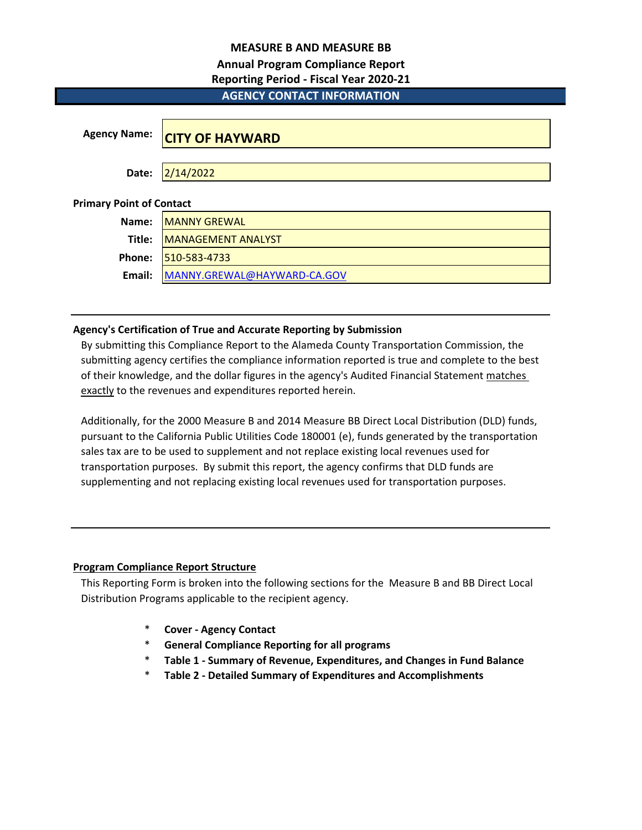## **MEASURE B AND MEASURE BB**

## **Annual Program Compliance Report**

## **Reporting Period - Fiscal Year 2020-21**

# **AGENCY CONTACT INFORMATION**

| <b>Agency Name:</b>             | <b>CITY OF HAYWARD</b>      |
|---------------------------------|-----------------------------|
| Date:                           | 2/14/2022                   |
| <b>Primary Point of Contact</b> |                             |
| Name:                           | <b>MANNY GREWAL</b>         |
| Title:                          | MANAGEMENT ANALYST          |
| Phone:                          | 510-583-4733                |
| Email:                          | MANNY.GREWAL@HAYWARD-CA.GOV |

## **Agency's Certification of True and Accurate Reporting by Submission**

By submitting this Compliance Report to the Alameda County Transportation Commission, the submitting agency certifies the compliance information reported is true and complete to the best of their knowledge, and the dollar figures in the agency's Audited Financial Statement matches exactly to the revenues and expenditures reported herein.

Additionally, for the 2000 Measure B and 2014 Measure BB Direct Local Distribution (DLD) funds, pursuant to the California Public Utilities Code 180001 (e), funds generated by the transportation sales tax are to be used to supplement and not replace existing local revenues used for transportation purposes. By submit this report, the agency confirms that DLD funds are supplementing and not replacing existing local revenues used for transportation purposes.

## **Program Compliance Report Structure**

This Reporting Form is broken into the following sections for the Measure B and BB Direct Local Distribution Programs applicable to the recipient agency.

- \* **Cover Agency Contact**
- \* **General Compliance Reporting for all programs**
- \* **Table 1 Summary of Revenue, Expenditures, and Changes in Fund Balance**
- \* **Table 2 Detailed Summary of Expenditures and Accomplishments**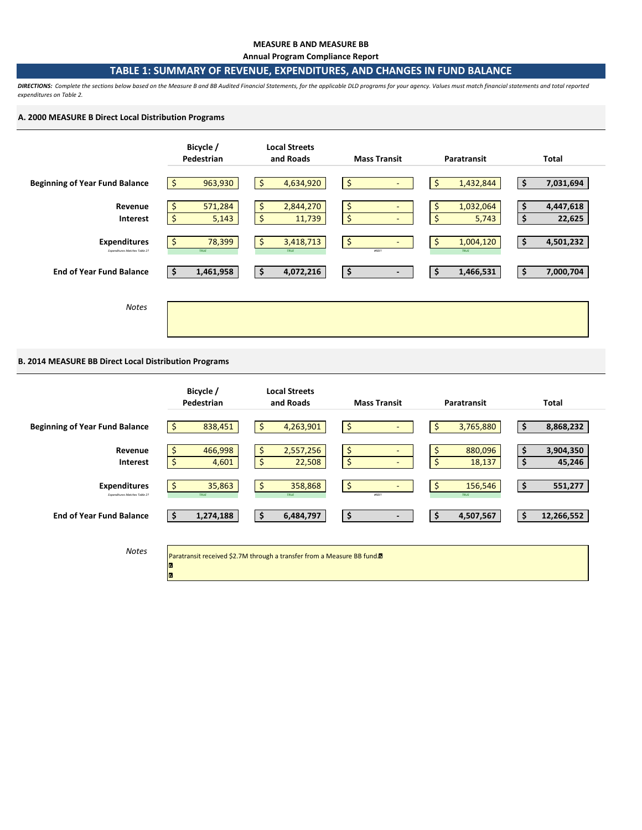#### **MEASURE B AND MEASURE BB**

**Annual Program Compliance Report**

#### **TABLE 1: SUMMARY OF REVENUE, EXPENDITURES, AND CHANGES IN FUND BALANCE**

*DIRECTIONS: Complete the sections below based on the Measure B and BB Audited Financial Statements, for the applicable DLD programs for your agency. Values must match financial statements and total reported expenditures on Table 2.* 

#### **A. 2000 MEASURE B Direct Local Distribution Programs**



## **B. 2014 MEASURE BB Direct Local Distribution Programs**

|                                                      | Bicycle /<br>Pedestrian           | <b>Local Streets</b><br>and Roads                                                   | <b>Mass Transit</b>            | Paratransit                   | Total                           |
|------------------------------------------------------|-----------------------------------|-------------------------------------------------------------------------------------|--------------------------------|-------------------------------|---------------------------------|
| <b>Beginning of Year Fund Balance</b>                | 838,451<br>-Ş                     | \$<br>4,263,901                                                                     | \$                             | 3,765,880                     | 8,868,232<br>Ş                  |
| Revenue<br><b>Interest</b>                           | \$<br>466,998<br>$\zeta$<br>4,601 | \$<br>2,557,256<br>\$<br>22,508                                                     | \$<br>\$<br>$\sim$             | \$<br>880,096<br>\$<br>18,137 | 3,904,350<br>\$<br>\$<br>45,246 |
| <b>Expenditures</b><br>Expenditures Matches Table 2? | 35,863<br>TRUE                    | \$<br>358,868<br>TRUE                                                               | \$<br>#REF!                    | 156,546<br>TRUE               | 551,277<br>\$                   |
| <b>End of Year Fund Balance</b>                      | 1,274,188<br>-\$                  | \$ ا<br>6,484,797                                                                   | \$<br>$\overline{\phantom{a}}$ | 4,507,567<br>\$.              | 12,266,552<br>\$                |
| <b>Notes</b>                                         |                                   | Paratransit received \$2.7M through a transfer from a Measure BB fund. <sup>1</sup> |                                |                               |                                 |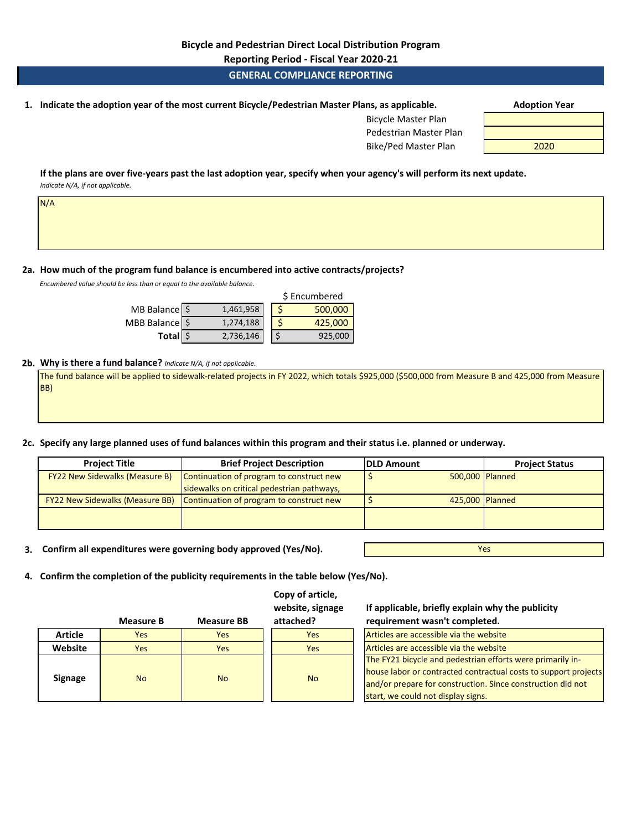**Reporting Period - Fiscal Year 2020-21**

## **GENERAL COMPLIANCE REPORTING**

**1. Adoption Year Indicate the adoption year of the most current Bicycle/Pedestrian Master Plans, as applicable.** 

| <b>Bicycle Master Plan</b> |      |
|----------------------------|------|
| Pedestrian Master Plan     |      |
| Bike/Ped Master Plan       | 2020 |

**If the plans are over five-years past the last adoption year, specify when your agency's will perform its next update.**  *Indicate N/A, if not applicable.* 

**2a. How much of the program fund balance is encumbered into active contracts/projects?** 

*Encumbered value should be less than or equal to the available balance.* 

N/A

|                |           | \$ Encumbered |
|----------------|-----------|---------------|
| MB Balance \$  | 1,461,958 | 500,000       |
| MBB Balance \$ | 1,274,188 | 425,000       |
| Total \$       | 2,736,146 | 925,000       |

#### **2b. Why is there a fund balance?** *Indicate N/A, if not applicable.*

The fund balance will be applied to sidewalk-related projects in FY 2022, which totals \$925,000 (\$500,000 from Measure B and 425,000 from Measure BB)

**2c. Specify any large planned uses of fund balances within this program and their status i.e. planned or underway.**

| <b>Project Title</b>                   | <b>Brief Project Description</b>           | <b>IDLD Amount</b> | <b>Project Status</b> |
|----------------------------------------|--------------------------------------------|--------------------|-----------------------|
| <b>FY22 New Sidewalks (Measure B)</b>  | Continuation of program to construct new   | 500,000 Planned    |                       |
|                                        | sidewalks on critical pedestrian pathways, |                    |                       |
| <b>FY22 New Sidewalks (Measure BB)</b> | Continuation of program to construct new   | 425,000 Planned    |                       |
|                                        |                                            |                    |                       |

**3. Confirm all expenditures were governing body approved (Yes/No).**

**Measure B Measure BB**

Yes

**4. Confirm the completion of the publicity requirements in the table below (Yes/No).**

| Copy of article. |  |
|------------------|--|
| website, signage |  |
| attached?        |  |

**If applicable, briefly explain why the publicity requirement wasn't completed.** 

| <b>Article</b> | <b>Yes</b> | <b>Yes</b> | <b>Yes</b> | Articles are accessible via the website                                                                                                                                                                                            |
|----------------|------------|------------|------------|------------------------------------------------------------------------------------------------------------------------------------------------------------------------------------------------------------------------------------|
| Website        | Yes        | Yes        | <b>Yes</b> | Articles are accessible via the website                                                                                                                                                                                            |
| <b>Signage</b> | <b>No</b>  | <b>No</b>  | <b>No</b>  | The FY21 bicycle and pedestrian efforts were primarily in-<br>house labor or contracted contractual costs to support projects<br>and/or prepare for construction. Since construction did not<br>start, we could not display signs. |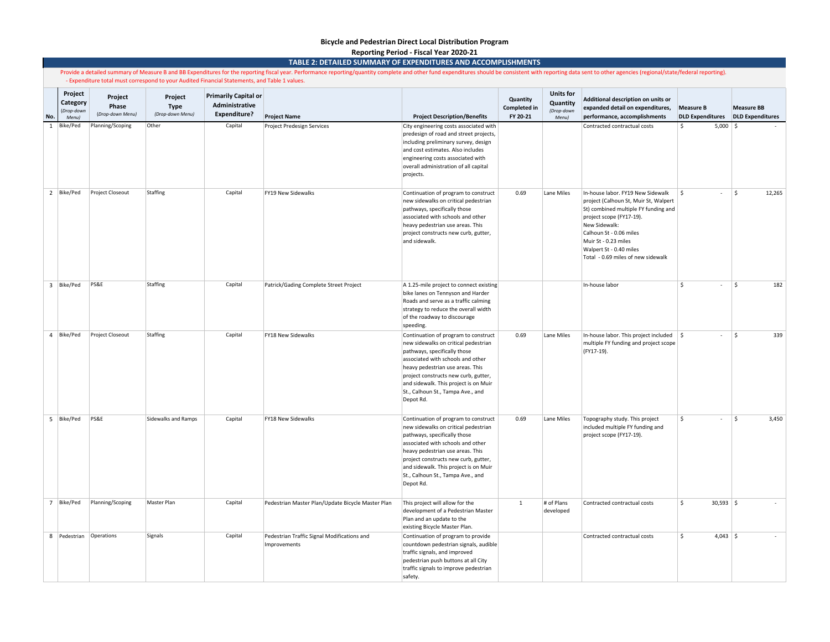#### **Bicycle and Pedestrian Direct Local Distribution Program Reporting Period - Fiscal Year 2020-21**

**TABLE 2: DETAILED SUMMARY OF EXPENDITURES AND ACCOMPLISHMENTS**

|              | Provide a detailed summary of Measure B and BB Expenditures for the reporting fiscal year. Performance reporting/quantity complete and other fund expenditures should be consistent with reporting data sent to other agencies<br>- Expenditure total must correspond to your Audited Financial Statements, and Table 1 values. |                                      |                                            |                                                                      |                                                             |                                                                                                                                                                                                                                                                                                                          |                                             |                                                     |                                                                                                                                                                                                                                                                                     |                                             |                                              |
|--------------|---------------------------------------------------------------------------------------------------------------------------------------------------------------------------------------------------------------------------------------------------------------------------------------------------------------------------------|--------------------------------------|--------------------------------------------|----------------------------------------------------------------------|-------------------------------------------------------------|--------------------------------------------------------------------------------------------------------------------------------------------------------------------------------------------------------------------------------------------------------------------------------------------------------------------------|---------------------------------------------|-----------------------------------------------------|-------------------------------------------------------------------------------------------------------------------------------------------------------------------------------------------------------------------------------------------------------------------------------------|---------------------------------------------|----------------------------------------------|
| No.          | Project<br>Category<br>(Drop-down<br>Menu)                                                                                                                                                                                                                                                                                      | Project<br>Phase<br>(Drop-down Menu) | Project<br><b>Type</b><br>(Drop-down Menu) | <b>Primarily Capital or</b><br>Administrative<br><b>Expenditure?</b> | <b>Project Name</b>                                         | <b>Project Description/Benefits</b>                                                                                                                                                                                                                                                                                      | Quantity<br><b>Completed in</b><br>FY 20-21 | <b>Units for</b><br>Quantity<br>(Drop-down<br>Menu) | Additional description on units or<br>expanded detail on expenditures,<br>performance, accomplishments                                                                                                                                                                              | <b>Measure B</b><br><b>DLD Expenditures</b> | <b>Measure BB</b><br><b>DLD Expenditures</b> |
| $\mathbf{1}$ | Bike/Ped                                                                                                                                                                                                                                                                                                                        | Planning/Scoping                     | Other                                      | Capital                                                              | <b>Project Predesign Services</b>                           | City engineering costs associated with<br>predesign of road and street projects,<br>including preliminary survey, design<br>and cost estimates. Also includes<br>engineering costs associated with<br>overall administration of all capital<br>projects.                                                                 |                                             |                                                     | Contracted contractual costs                                                                                                                                                                                                                                                        | $5,000$ \$<br>\$                            |                                              |
|              | 2   Bike/Ped                                                                                                                                                                                                                                                                                                                    | Project Closeout                     | Staffing                                   | Capital                                                              | FY19 New Sidewalks                                          | Continuation of program to construct<br>new sidewalks on critical pedestrian<br>pathways, specifically those<br>associated with schools and other<br>heavy pedestrian use areas. This<br>project constructs new curb, gutter,<br>and sidewalk.                                                                           | 0.69                                        | Lane Miles                                          | In-house labor. FY19 New Sidewalk<br>project (Calhoun St, Muir St, Walpert<br>St) combined multiple FY funding and<br>project scope (FY17-19).<br>New Sidewalk:<br>Calhoun St - 0.06 miles<br>Muir St - 0.23 miles<br>Walpert St - 0.40 miles<br>Total - 0.69 miles of new sidewalk | \$<br>$\sim$                                | \$<br>12,265                                 |
|              | 3 Bike/Ped                                                                                                                                                                                                                                                                                                                      | <b>PS&amp;E</b>                      | Staffing                                   | Capital                                                              | Patrick/Gading Complete Street Project                      | A 1.25-mile project to connect existing<br>bike lanes on Tennyson and Harder<br>Roads and serve as a traffic calming<br>strategy to reduce the overall width<br>of the roadway to discourage<br>speeding.                                                                                                                |                                             |                                                     | In-house labor                                                                                                                                                                                                                                                                      | $\mathsf{\hat{S}}$<br>$\sim$                | $\mathsf{\$}$<br>182                         |
|              | 4 Bike/Ped                                                                                                                                                                                                                                                                                                                      | Project Closeout                     | Staffing                                   | Capital                                                              | FY18 New Sidewalks                                          | Continuation of program to construct<br>new sidewalks on critical pedestrian<br>pathways, specifically those<br>associated with schools and other<br>heavy pedestrian use areas. This<br>project constructs new curb, gutter,<br>and sidewalk. This project is on Muir<br>St., Calhoun St., Tampa Ave., and<br>Depot Rd. | 0.69                                        | Lane Miles                                          | In-house labor. This project included $\frac{1}{2}$<br>multiple FY funding and project scope<br>(FY17-19).                                                                                                                                                                          | $\sim$                                      | S.<br>339                                    |
|              | 5 Bike/Ped                                                                                                                                                                                                                                                                                                                      | PS&E                                 | <b>Sidewalks and Ramps</b>                 | Capital                                                              | FY18 New Sidewalks                                          | Continuation of program to construct<br>new sidewalks on critical pedestrian<br>pathways, specifically those<br>associated with schools and other<br>heavy pedestrian use areas. This<br>project constructs new curb, gutter,<br>and sidewalk. This project is on Muir<br>St., Calhoun St., Tampa Ave., and<br>Depot Rd. | 0.69                                        | Lane Miles                                          | Topography study. This project<br>included multiple FY funding and<br>project scope (FY17-19).                                                                                                                                                                                      | $\mathsf{\hat{S}}$<br>$\sim$                | ۱\$<br>3,450                                 |
|              | 7 Bike/Ped                                                                                                                                                                                                                                                                                                                      | Planning/Scoping                     | Master Plan                                | Capital                                                              | Pedestrian Master Plan/Update Bicycle Master Plan           | This project will allow for the<br>development of a Pedestrian Master<br>Plan and an update to the<br>existing Bicycle Master Plan.                                                                                                                                                                                      | $\mathbf{1}$                                | # of Plans<br>developed                             | Contracted contractual costs                                                                                                                                                                                                                                                        | \$<br>$30,593$ \$                           |                                              |
|              | 8   Pedestrian   Operations                                                                                                                                                                                                                                                                                                     |                                      | Signals                                    | Capital                                                              | Pedestrian Traffic Signal Modifications and<br>Improvements | Continuation of program to provide<br>countdown pedestrian signals, audible<br>traffic signals, and improved<br>pedestrian push buttons at all City<br>traffic signals to improve pedestrian<br>safety.                                                                                                                  |                                             |                                                     | Contracted contractual costs                                                                                                                                                                                                                                                        | \$<br>$4,043$ \$                            |                                              |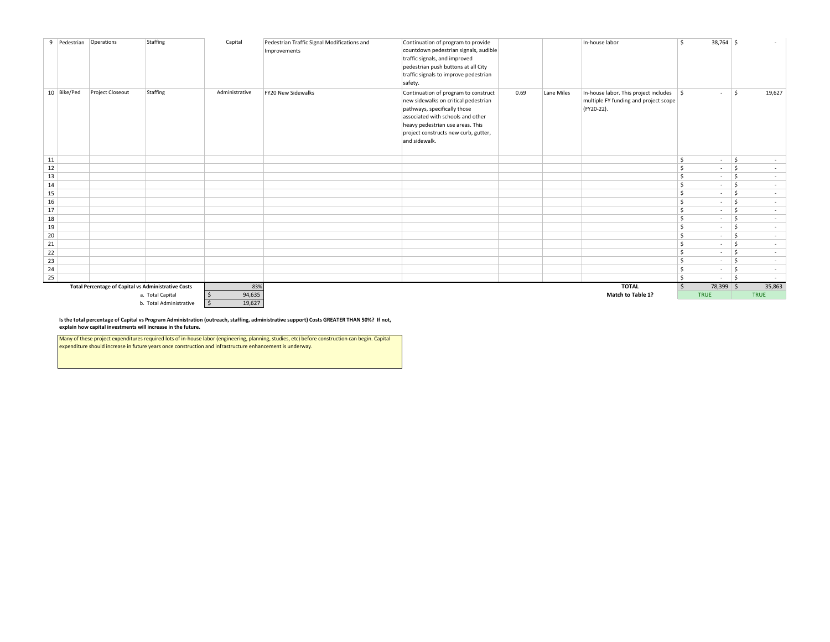|    | 9 Pedestrian | Operations                                                 | Staffing                | Capital                | Pedestrian Traffic Signal Modifications and<br>Improvements | Continuation of program to provide<br>countdown pedestrian signals, audible<br>traffic signals, and improved<br>pedestrian push buttons at all City<br>traffic signals to improve pedestrian<br>safety.                                        |      |            | In-house labor                                                                                             | \$      | $38,764$ \$              |                    | $\sim$                   |
|----|--------------|------------------------------------------------------------|-------------------------|------------------------|-------------------------------------------------------------|------------------------------------------------------------------------------------------------------------------------------------------------------------------------------------------------------------------------------------------------|------|------------|------------------------------------------------------------------------------------------------------------|---------|--------------------------|--------------------|--------------------------|
|    | 10 Bike/Ped  | <b>Project Closeout</b>                                    | Staffing                | Administrative         | FY20 New Sidewalks                                          | Continuation of program to construct<br>new sidewalks on critical pedestrian<br>pathways, specifically those<br>associated with schools and other<br>heavy pedestrian use areas. This<br>project constructs new curb, gutter,<br>and sidewalk. | 0.69 | Lane Miles | In-house labor. This project includes $\frac{1}{2}$<br>multiple FY funding and project scope<br>(FY20-22). |         | $\sim$                   | S.                 | 19,627                   |
| 11 |              |                                                            |                         |                        |                                                             |                                                                                                                                                                                                                                                |      |            |                                                                                                            | \$      | $\sim$                   | <sub>S</sub>       | $\sim$                   |
| 12 |              |                                                            |                         |                        |                                                             |                                                                                                                                                                                                                                                |      |            |                                                                                                            | \$      | $\sim$                   | S.                 | $\sim$                   |
| 13 |              |                                                            |                         |                        |                                                             |                                                                                                                                                                                                                                                |      |            |                                                                                                            | \$      | $\sim$                   | \$                 | $\overline{\phantom{a}}$ |
| 14 |              |                                                            |                         |                        |                                                             |                                                                                                                                                                                                                                                |      |            |                                                                                                            | \$      | $\sim$                   | S.                 | $\overline{\phantom{a}}$ |
| 15 |              |                                                            |                         |                        |                                                             |                                                                                                                                                                                                                                                |      |            |                                                                                                            | \$      | $\sim$                   | -Ś                 | $\sim$                   |
| 16 |              |                                                            |                         |                        |                                                             |                                                                                                                                                                                                                                                |      |            |                                                                                                            | \$      | $\overline{\phantom{a}}$ | $\mathsf{\hat{S}}$ | $\overline{\phantom{a}}$ |
| 17 |              |                                                            |                         |                        |                                                             |                                                                                                                                                                                                                                                |      |            |                                                                                                            | \$      | $\sim$                   | S.                 | $\sim$                   |
| 18 |              |                                                            |                         |                        |                                                             |                                                                                                                                                                                                                                                |      |            |                                                                                                            | \$      | $\sim$                   | <sup>\$</sup>      | $\overline{\phantom{a}}$ |
| 19 |              |                                                            |                         |                        |                                                             |                                                                                                                                                                                                                                                |      |            |                                                                                                            | \$      | $\sim$                   | S.                 | ٠                        |
| 20 |              |                                                            |                         |                        |                                                             |                                                                                                                                                                                                                                                |      |            |                                                                                                            | $\zeta$ | $\sim$                   | S.                 | $\sim$                   |
| 21 |              |                                                            |                         |                        |                                                             |                                                                                                                                                                                                                                                |      |            |                                                                                                            | \$      | $\sim$                   | -Ś                 | $\sim$                   |
| 22 |              |                                                            |                         |                        |                                                             |                                                                                                                                                                                                                                                |      |            |                                                                                                            | \$      | $\sim$                   | S.                 | $\overline{\phantom{a}}$ |
| 23 |              |                                                            |                         |                        |                                                             |                                                                                                                                                                                                                                                |      |            |                                                                                                            | \$      | $\sim$                   | - Ś                | $\overline{\phantom{a}}$ |
| 24 |              |                                                            |                         |                        |                                                             |                                                                                                                                                                                                                                                |      |            |                                                                                                            | \$      | $\sim$                   | $\mathsf{\hat{S}}$ | $\sim$                   |
| 25 |              |                                                            |                         |                        |                                                             |                                                                                                                                                                                                                                                |      |            |                                                                                                            | l \$    | $\sim$                   | ۱\$                | $\sim$                   |
|    |              | <b>Total Percentage of Capital vs Administrative Costs</b> |                         | 83%                    |                                                             |                                                                                                                                                                                                                                                |      |            | <b>TOTAL</b>                                                                                               | ∣\$     | 78,399 \$                |                    | 35,863                   |
|    |              |                                                            | a. Total Capital        | 94,635                 |                                                             |                                                                                                                                                                                                                                                |      |            | Match to Table 1?                                                                                          |         | <b>TRUE</b>              |                    | <b>TRUE</b>              |
|    |              |                                                            | b. Total Administrative | $\mathsf{S}$<br>19,627 |                                                             |                                                                                                                                                                                                                                                |      |            |                                                                                                            |         |                          |                    |                          |

**Is the total percentage of Capital vs Program Administration (outreach, staffing, administrative support) Costs GREATER THAN 50%? If not, explain how capital investments will increase in the future.**

Many of these project expenditures required lots of in-house labor (engineering, planning, studies, etc) before construction can begin. Capital expenditure should increase in future years once construction and infrastructure enhancement is underway.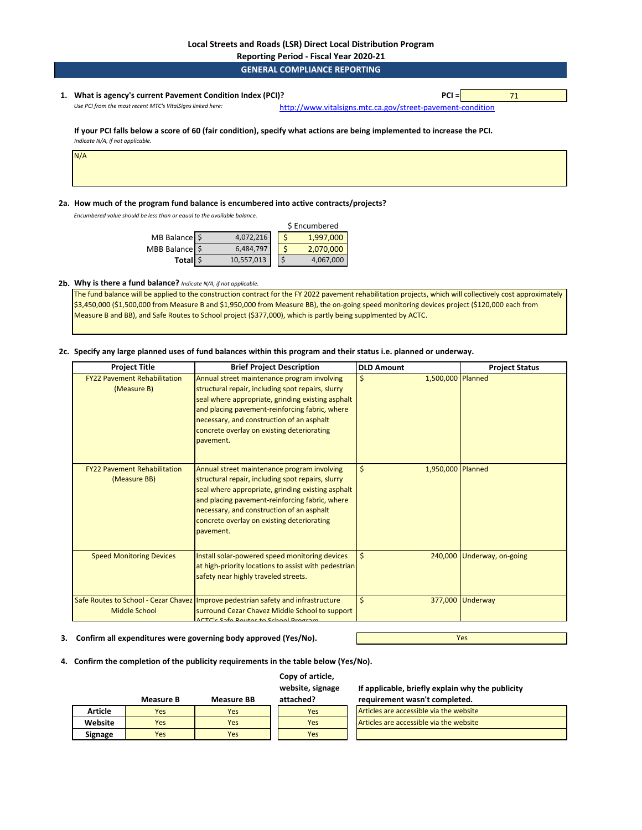**Reporting Period - Fiscal Year 2020-21**

| <b>GENERAL COMPLIANCE REPORTING</b> |  |  |
|-------------------------------------|--|--|

#### **1. PCI =** 71 **What is agency's current Pavement Condition Index (PCI)?**  *Use PCI from the most recent MTC's VitalSigns linked here:* [http://www.vitalsig](http://www.vitalsigns.mtc.ca.gov/street-pavement-condition)ns.mtc.ca.gov/street-pavement-condition

#### **If your PCI falls below a score of 60 (fair condition), specify what actions are being implemented to increase the PCI.**  *Indicate N/A, if not applicable.*

N/A

#### **2a. How much of the program fund balance is encumbered into active contracts/projects?**

*Encumbered value should be less than or equal to the available balance.* 

|                          | \$ Encumbered |           |
|--------------------------|---------------|-----------|
| MB Balance $\frac{1}{2}$ | 4,072,216     | 1,997,000 |
| MBB Balance \$           | 6,484,797     | 2,070,000 |
| Total \$                 | 10,557,013    | 4,067,000 |

#### **2b. Why is there a fund balance?** *Indicate N/A, if not applicable.*

The fund balance will be applied to the construction contract for the FY 2022 pavement rehabilitation projects, which will collectively cost approximately \$3,450,000 (\$1,500,000 from Measure B and \$1,950,000 from Measure BB), the on-going speed monitoring devices project (\$120,000 each from Measure B and BB), and Safe Routes to School project (\$377,000), which is partly being supplmented by ACTC.

#### **2c. Specify any large planned uses of fund balances within this program and their status i.e. planned or underway.**

| <b>Project Title</b>                                | <b>Brief Project Description</b>                                                                                                                                                                                                                                                                                | <b>DLD Amount</b>       | <b>Project Status</b> |
|-----------------------------------------------------|-----------------------------------------------------------------------------------------------------------------------------------------------------------------------------------------------------------------------------------------------------------------------------------------------------------------|-------------------------|-----------------------|
| <b>FY22 Pavement Rehabilitation</b><br>(Measure B)  | Annual street maintenance program involving<br>structural repair, including spot repairs, slurry<br>seal where appropriate, grinding existing asphalt<br>and placing pavement-reinforcing fabric, where<br>necessary, and construction of an asphalt<br>concrete overlay on existing deteriorating<br>pavement. | \$<br>1,500,000 Planned |                       |
| <b>FY22 Pavement Rehabilitation</b><br>(Measure BB) | Annual street maintenance program involving<br>structural repair, including spot repairs, slurry<br>seal where appropriate, grinding existing asphalt<br>and placing pavement-reinforcing fabric, where<br>necessary, and construction of an asphalt<br>concrete overlay on existing deteriorating<br>pavement. | \$<br>1,950,000 Planned |                       |
| <b>Speed Monitoring Devices</b>                     | Install solar-powered speed monitoring devices<br>at high-priority locations to assist with pedestrian<br>safety near highly traveled streets.                                                                                                                                                                  | \$<br>240,000           | Underway, on-going    |
| <b>Middle School</b>                                | Safe Routes to School - Cezar Chavez   Improve pedestrian safety and infrastructure<br>surround Cezar Chavez Middle School to support<br>$CTC2$ Cafe Davise to Cabe                                                                                                                                             | \$                      | 377,000 Underway      |

#### **3. Confirm all expenditures were governing body approved (Yes/No).**

**4. Confirm the completion of the publicity requirements in the table below (Yes/No).**

#### **Copy of article, website, signage**

**If applicable, briefly explain why the publicity** 

|                | Measure B | <b>Measure BB</b> | attached? | requirement wasn't completed.           |
|----------------|-----------|-------------------|-----------|-----------------------------------------|
| <b>Article</b> | Yes       | Yes               | Yes       | Articles are accessible via the website |
| Website        | Yes       | Yes               | Yes       | Articles are accessible via the website |
| Signage        | Yes       | Yes               | Yes       |                                         |

Yes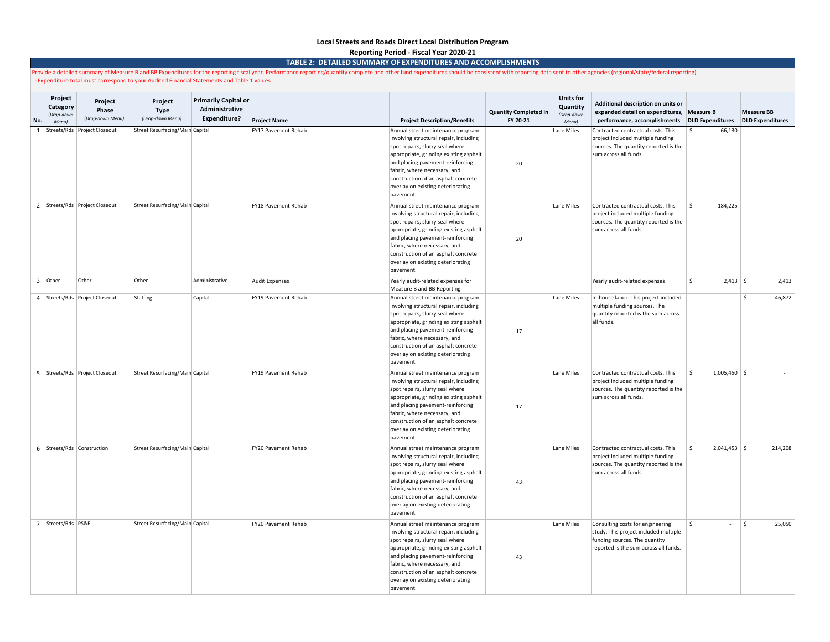# **Local Streets and Roads Direct Local Distribution Program**

**Reporting Period - Fiscal Year 2020-21**

#### **TABLE 2: DETAILED SUMMARY OF EXPENDITURES AND ACCOMPLISHMENTS**

Provide a detailed summary of Measure B and BB Expenditures for the reporting fiscal year. Performance reporting/quantity complete and other fund expenditures should be consistent with reporting data sent to other agencies - Expenditure total must correspond to your Audited Financial Statements and Table 1 values

| Project<br>Category<br>(Drop-down<br>No.<br><b>Menul</b> | Project<br>Phase<br>(Drop-down Menu) | Project<br><b>Type</b><br>(Drop-down Menu) | <b>Primarily Capital or</b><br>Administrative<br>Expenditure? | <b>Project Name</b>   | <b>Project Description/Benefits</b>                                                                                                                                                                                                                                                                                   | <b>Quantity Completed in</b><br>FY 20-21 | <b>Units for</b><br>Quantity<br>(Drop-down<br>Menu) | Additional description on units or<br>expanded detail on expenditures,<br>performance, accomplishments                                              | <b>Measure B</b><br><b>DLD Expenditures</b> | <b>Measure BB</b><br><b>DLD Expenditures</b> |
|----------------------------------------------------------|--------------------------------------|--------------------------------------------|---------------------------------------------------------------|-----------------------|-----------------------------------------------------------------------------------------------------------------------------------------------------------------------------------------------------------------------------------------------------------------------------------------------------------------------|------------------------------------------|-----------------------------------------------------|-----------------------------------------------------------------------------------------------------------------------------------------------------|---------------------------------------------|----------------------------------------------|
| 1                                                        | Streets/Rds Project Closeout         | Street Resurfacing/Main Capital            |                                                               | FY17 Pavement Rehab   | Annual street maintenance program<br>involving structural repair, including<br>spot repairs, slurry seal where<br>appropriate, grinding existing asphalt<br>and placing pavement-reinforcing<br>fabric, where necessary, and<br>construction of an asphalt concrete<br>overlay on existing deteriorating<br>pavement. | 20                                       | Lane Miles                                          | Contracted contractual costs. This<br>project included multiple funding<br>sources. The quantity reported is the<br>sum across all funds.           | 66,130                                      |                                              |
|                                                          | 2 Streets/Rds Project Closeout       | Street Resurfacing/Main Capital            |                                                               | FY18 Pavement Rehab   | Annual street maintenance program<br>involving structural repair, including<br>spot repairs, slurry seal where<br>appropriate, grinding existing asphalt<br>and placing pavement-reinforcing<br>fabric, where necessary, and<br>construction of an asphalt concrete<br>overlay on existing deteriorating<br>pavement. | 20                                       | Lane Miles                                          | Contracted contractual costs. This<br>project included multiple funding<br>sources. The quantity reported is the<br>sum across all funds.           | 184,225<br>Ŝ.                               |                                              |
| $3$ Other                                                | Other                                | Other                                      | Administrative                                                | <b>Audit Expenses</b> | Yearly audit-related expenses for<br>Measure B and BB Reporting                                                                                                                                                                                                                                                       |                                          |                                                     | Yearly audit-related expenses                                                                                                                       | 5<br>$2,413$ \$                             | 2,413                                        |
|                                                          | 4 Streets/Rds Project Closeout       | Staffing                                   | Capital                                                       | FY19 Pavement Rehab   | Annual street maintenance program<br>involving structural repair, including<br>spot repairs, slurry seal where<br>appropriate, grinding existing asphalt<br>and placing pavement-reinforcing<br>fabric, where necessary, and<br>construction of an asphalt concrete<br>overlay on existing deteriorating<br>pavement. | 17                                       | Lane Miles                                          | In-house labor. This project included<br>multiple funding sources. The<br>quantity reported is the sum across<br>all funds.                         |                                             | 46,872<br>\$                                 |
|                                                          | 5 Streets/Rds Project Closeout       | Street Resurfacing/Main Capital            |                                                               | FY19 Pavement Rehab   | Annual street maintenance program<br>involving structural repair, including<br>spot repairs, slurry seal where<br>appropriate, grinding existing asphalt<br>and placing pavement-reinforcing<br>fabric, where necessary, and<br>construction of an asphalt concrete<br>overlay on existing deteriorating<br>pavement. | 17                                       | Lane Miles                                          | Contracted contractual costs. This<br>project included multiple funding<br>sources. The quantity reported is the<br>sum across all funds.           | $1,005,450$ \$<br>$\mathsf{\hat{S}}$        |                                              |
|                                                          | 6 Streets/Rds Construction           | Street Resurfacing/Main Capital            |                                                               | FY20 Pavement Rehab   | Annual street maintenance program<br>involving structural repair, including<br>spot repairs, slurry seal where<br>appropriate, grinding existing asphalt<br>and placing pavement-reinforcing<br>fabric, where necessary, and<br>construction of an asphalt concrete<br>overlay on existing deteriorating<br>pavement. | 43                                       | Lane Miles                                          | Contracted contractual costs. This<br>project included multiple funding<br>sources. The quantity reported is the<br>sum across all funds.           | l \$<br>$2,041,453$ \$                      | 214,208                                      |
| 7 Streets/Rds PS&E                                       |                                      | Street Resurfacing/Main Capital            |                                                               | FY20 Pavement Rehab   | Annual street maintenance program<br>involving structural repair, including<br>spot repairs, slurry seal where<br>appropriate, grinding existing asphalt<br>and placing pavement-reinforcing<br>fabric, where necessary, and<br>construction of an asphalt concrete<br>overlay on existing deteriorating<br>pavement. | 43                                       | Lane Miles                                          | Consulting costs for engineering<br>study. This project included multiple<br>funding sources. The quantity<br>reported is the sum across all funds. | \$<br>$\overline{\phantom{a}}$              | \$<br>25,050                                 |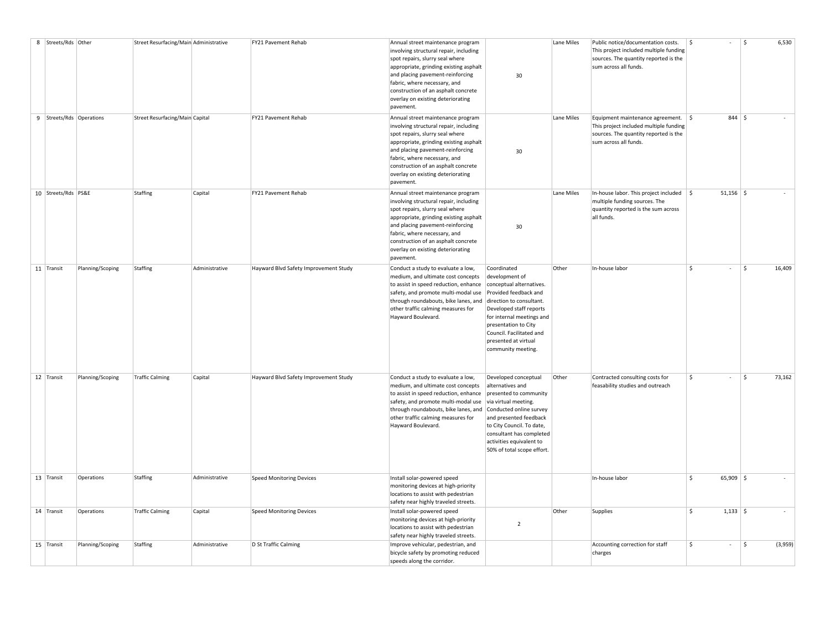| 8 Streets/Rds Other      |                  | Street Resurfacing/Main Administrative |                | FY21 Pavement Rehab                   | Annual street maintenance program                                                                                                                                                                                                                                                                                     |                                                                                                                                                                                                                                                                          | Lane Miles | Public notice/documentation costs.                                                                                                                | \$                      | \$       | 6,530   |
|--------------------------|------------------|----------------------------------------|----------------|---------------------------------------|-----------------------------------------------------------------------------------------------------------------------------------------------------------------------------------------------------------------------------------------------------------------------------------------------------------------------|--------------------------------------------------------------------------------------------------------------------------------------------------------------------------------------------------------------------------------------------------------------------------|------------|---------------------------------------------------------------------------------------------------------------------------------------------------|-------------------------|----------|---------|
|                          |                  |                                        |                |                                       | involving structural repair, including<br>spot repairs, slurry seal where<br>appropriate, grinding existing asphalt<br>and placing pavement-reinforcing<br>fabric, where necessary, and<br>construction of an asphalt concrete<br>overlay on existing deteriorating<br>pavement.                                      | 30                                                                                                                                                                                                                                                                       |            | This project included multiple funding<br>sources. The quantity reported is the<br>sum across all funds.                                          |                         |          |         |
| 9 Streets/Rds Operations |                  | Street Resurfacing/Main Capital        |                | FY21 Pavement Rehab                   | Annual street maintenance program<br>involving structural repair, including<br>spot repairs, slurry seal where<br>appropriate, grinding existing asphalt<br>and placing pavement-reinforcing<br>fabric, where necessary, and<br>construction of an asphalt concrete<br>overlay on existing deteriorating<br>pavement. | 30                                                                                                                                                                                                                                                                       | Lane Miles | Equipment maintenance agreement.   \$<br>This project included multiple funding<br>sources. The quantity reported is the<br>sum across all funds. |                         | $844$ \$ |         |
| 10 Streets/Rds PS&E      |                  | Staffing                               | Capital        | FY21 Pavement Rehab                   | Annual street maintenance program<br>involving structural repair, including<br>spot repairs, slurry seal where<br>appropriate, grinding existing asphalt<br>and placing pavement-reinforcing<br>fabric, where necessary, and<br>construction of an asphalt concrete<br>overlay on existing deteriorating<br>pavement. | 30                                                                                                                                                                                                                                                                       | Lane Miles | In-house labor. This project included $\frac{1}{2}$<br>multiple funding sources. The<br>quantity reported is the sum across<br>all funds.         | $51,156$ \$             |          |         |
| 11 Transit               | Planning/Scoping | Staffing                               | Administrative | Hayward Blvd Safety Improvement Study | Conduct a study to evaluate a low,<br>medium, and ultimate cost concepts<br>to assist in speed reduction, enhance<br>safety, and promote multi-modal use<br>through roundabouts, bike lanes, and<br>other traffic calming measures for<br>Hayward Boulevard.                                                          | Coordinated<br>development of<br>conceptual alternatives.<br>Provided feedback and<br>direction to consultant.<br>Developed staff reports<br>for internal meetings and<br>presentation to City<br>Council. Facilitated and<br>presented at virtual<br>community meeting. | Other      | In-house labor                                                                                                                                    | <sup>\$</sup><br>$\sim$ | \$       | 16,409  |
| 12 Transit               | Planning/Scoping | <b>Traffic Calming</b>                 | Capital        | Hayward Blvd Safety Improvement Study | Conduct a study to evaluate a low,<br>medium, and ultimate cost concepts<br>to assist in speed reduction, enhance<br>safety, and promote multi-modal use<br>through roundabouts, bike lanes, and<br>other traffic calming measures for<br>Hayward Boulevard.                                                          | Developed conceptual<br>alternatives and<br>presented to community<br>via virtual meeting.<br>Conducted online survey<br>and presented feedback<br>to City Council. To date,<br>consultant has completed<br>activities equivalent to<br>50% of total scope effort.       | Other      | Contracted consulting costs for<br>feasability studies and outreach                                                                               | \$                      | \$       | 73,162  |
| 13 Transit               | Operations       | Staffing                               | Administrative | <b>Speed Monitoring Devices</b>       | Install solar-powered speed<br>monitoring devices at high-priority<br>locations to assist with pedestrian<br>safety near highly traveled streets.                                                                                                                                                                     |                                                                                                                                                                                                                                                                          |            | In-house labor                                                                                                                                    | \$<br>$65,909$ \$       |          |         |
| 14 Transit               | Operations       | <b>Traffic Calming</b>                 | Capital        | <b>Speed Monitoring Devices</b>       | Install solar-powered speed<br>monitoring devices at high-priority<br>locations to assist with pedestrian<br>safety near highly traveled streets.                                                                                                                                                                     | $\overline{2}$                                                                                                                                                                                                                                                           | Other      | Supplies                                                                                                                                          | \$<br>$1,133$ \$        |          |         |
| 15 Transit               | Planning/Scoping | Staffing                               | Administrative | D St Traffic Calming                  | Improve vehicular, pedestrian, and<br>bicycle safety by promoting reduced<br>speeds along the corridor.                                                                                                                                                                                                               |                                                                                                                                                                                                                                                                          |            | Accounting correction for staff<br>charges                                                                                                        | \$<br>$\sim$            | \$       | (3,959) |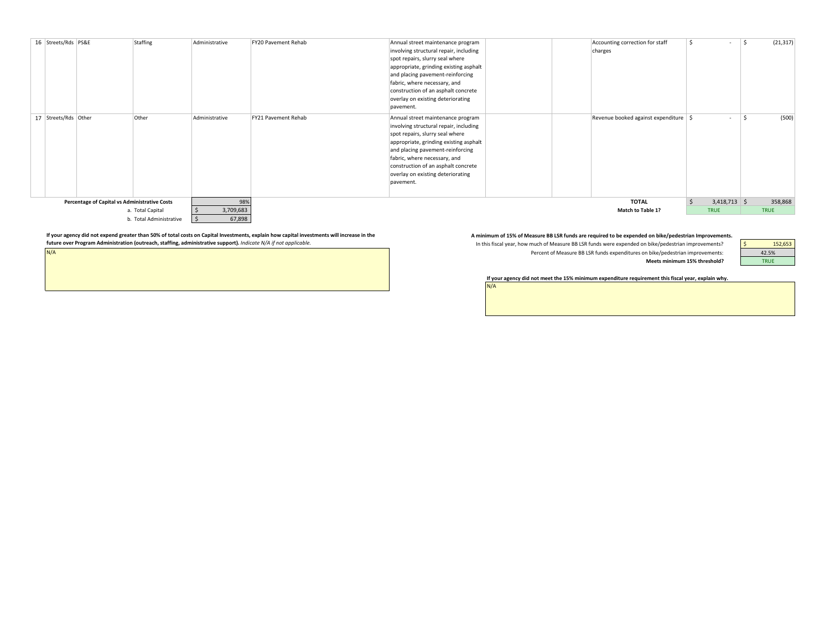|                  | 16 Streets/Rds PS&E<br>17   Streets/Rds   Other |                                               | Staffing<br>Other       | Administrative<br>Administrative | FY20 Pavement Rehab<br>FY21 Pavement Rehab | Annual street maintenance program<br>involving structural repair, including<br>spot repairs, slurry seal where<br>appropriate, grinding existing asphalt<br>and placing pavement-reinforcing<br>fabric, where necessary, and<br>construction of an asphalt concrete<br>overlay on existing deteriorating<br>pavement.<br>Annual street maintenance program | Accounting correction for staff<br>charges<br>Revenue booked against expenditure   \$ | $\overline{\phantom{a}}$<br>$\overline{\phantom{a}}$ | (21, 317)<br>(500) |
|------------------|-------------------------------------------------|-----------------------------------------------|-------------------------|----------------------------------|--------------------------------------------|------------------------------------------------------------------------------------------------------------------------------------------------------------------------------------------------------------------------------------------------------------------------------------------------------------------------------------------------------------|---------------------------------------------------------------------------------------|------------------------------------------------------|--------------------|
|                  |                                                 |                                               |                         |                                  |                                            | involving structural repair, including<br>spot repairs, slurry seal where<br>appropriate, grinding existing asphalt<br>and placing pavement-reinforcing<br>fabric, where necessary, and<br>construction of an asphalt concrete<br>overlay on existing deteriorating<br>pavement.                                                                           |                                                                                       |                                                      |                    |
|                  |                                                 | Percentage of Capital vs Administrative Costs |                         | 98%                              |                                            |                                                                                                                                                                                                                                                                                                                                                            | <b>TOTAL</b>                                                                          | S.<br>$3,418,713$ \$                                 | 358,868            |
| a. Total Capital |                                                 |                                               |                         | 3,709,683                        |                                            |                                                                                                                                                                                                                                                                                                                                                            | <b>Match to Table 1?</b>                                                              | <b>TRUE</b>                                          | <b>TRUE</b>        |
|                  |                                                 |                                               | b. Total Administrative | 67,898                           |                                            |                                                                                                                                                                                                                                                                                                                                                            |                                                                                       |                                                      |                    |

If your agency did not expend greater than 50% of total costs on Capital Investments, explain how capital investments will increase in the and the Aminimum of 15% of Measure BB LSR funds are required to be expended on bike **future over Program Administration (outreach, staffing, administrative support).** *Indicate N/A if not applicable.* 

N/A

In this fiscal year, how much of Measure BB LSR funds were expended on bike/pedestrian improvements? Percent of Measure BB LSR funds expenditures on bike/pedestrian improvements: **Meets minimum 15% threshold?**

N/A



**If your agency did not meet the 15% minimum expenditure requirement this fiscal year, explain why.**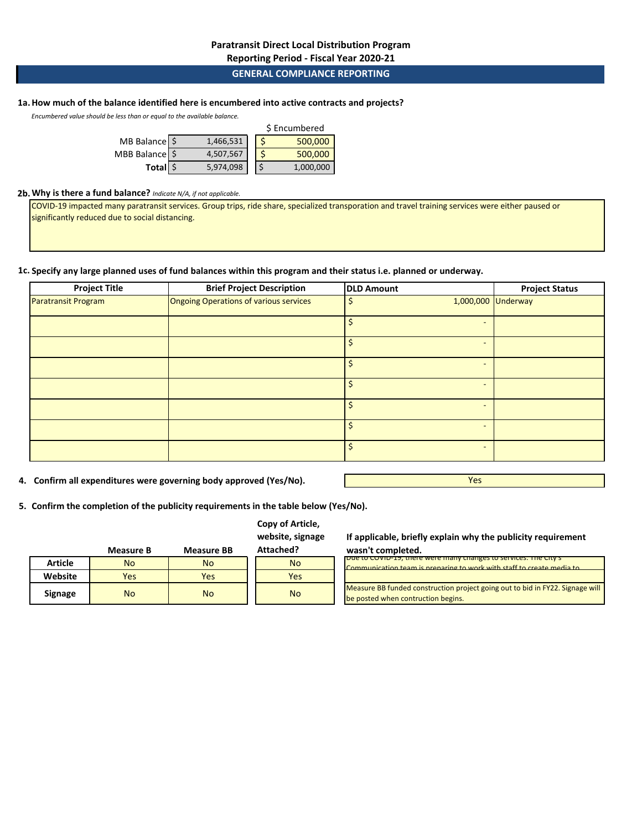**Reporting Period - Fiscal Year 2020-21**

## **GENERAL COMPLIANCE REPORTING**

## **1a.How much of the balance identified here is encumbered into active contracts and projects?**

*Encumbered value should be less than or equal to the available balance.* 

|                |  |           | \$ Encumbered |           |
|----------------|--|-----------|---------------|-----------|
| MB Balance \$  |  | 1,466,531 |               | 500,000   |
| MBB Balance \$ |  | 4,507,567 |               | 500,000   |
| Total \$       |  | 5,974,098 |               | 1,000,000 |

#### **2b.Why is there a fund balance?** *Indicate N/A, if not applicable.*

COVID-19 impacted many paratransit services. Group trips, ride share, specialized transporation and travel training services were either paused or significantly reduced due to social distancing.

## **1c. Specify any large planned uses of fund balances within this program and their status i.e. planned or underway.**

| <b>Project Title</b>       | <b>Brief Project Description</b>       | <b>DLD Amount</b> | <b>Project Status</b> |
|----------------------------|----------------------------------------|-------------------|-----------------------|
| <b>Paratransit Program</b> | Ongoing Operations of various services | \$                | 1,000,000 Underway    |
|                            |                                        |                   |                       |
|                            |                                        |                   |                       |
|                            |                                        | Ś                 |                       |
|                            |                                        |                   |                       |
|                            |                                        |                   |                       |
|                            |                                        | Ś                 |                       |
|                            |                                        |                   |                       |

**4. Confirm all expenditures were governing body approved (Yes/No).**

Yes

**5. Confirm the completion of the publicity requirements in the table below (Yes/No).**

## **Copy of Article, website, signage**

|                | <b>Measure B</b> | <b>Measure BB</b> | Attached? |
|----------------|------------------|-------------------|-----------|
| <b>Article</b> | <b>No</b>        | <b>No</b>         | <b>No</b> |
| Website        | Yes              | Yes               | Yes       |
| <b>Signage</b> | <b>No</b>        | <b>No</b>         | <b>No</b> |

**If applicable, briefly explain why the publicity requirement wasn't completed.**

| Due to COVID-19, there were many changes to services. The City S              |
|-------------------------------------------------------------------------------|
| Communication team is preparing to work with staff to create media to         |
|                                                                               |
|                                                                               |
| Measure BB funded construction project going out to bid in FY22. Signage will |
| be posted when contruction begins.                                            |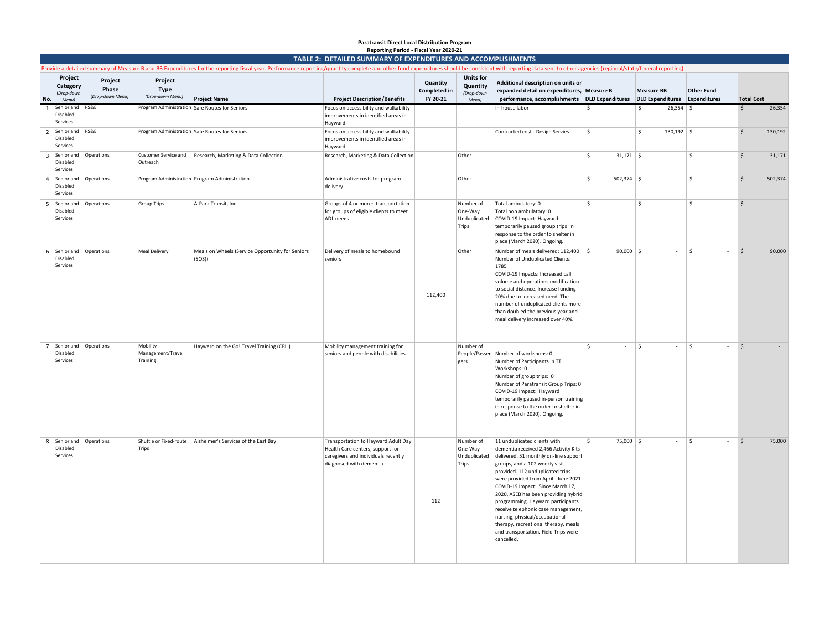#### **No. Project Category**  (*Drop-down Menu)* **Project Phase**  (*Drop-down Menu)*  **Project Type**<br>(Drop-down Menu) *(Drop-down Menu)* **Project Name Project Description/Benefits Quantity Completed in FY 20-21 Units for Quantity** *(Drop-down Menu)*  **Additional description on units or expanded detail on expenditures, Measure B performance, accomplishments DLD Expenditures DLD Expenditures Expenditures Total Cost Measure BB Other Fund** 1 Senior and Disabled Services PS&E Program Administration Safe Routes for Seniors Focus on accessibility and walkability improvements in identified areas in Hayward In-house labor \$ - \$ 26,354 \$ - \$ 26,354 2 Senior and PS&E Disabled Services Program Administration Safe Routes for Seniors Focus on accessibility and walkability improvements in identified areas in Hayward Contracted cost - Design Servies \$ - \$ 130,192 \$ - \$ 130,192 3 Senior and Disabled Services Operations Customer Service and Research, Marketing & Data Collection Outreach Research, Marketing & Data Collection **Collection** Other **Research, Marketing & Data Collection** 31,171 \$ - \$ 31,171 4 Senior and Operations Disabled **Services** Program Administration Program Administration Administration Administrative costs for program delivery Other \$ 502,374 \$ - \$ - \$ 502,374 5 Senior and Disabled Services Operations Group Trips A-Para Transit, Inc. Groups of 4 or more: transportation for groups of eligible clients to meet ADL needs Number of One-Way Unduplicated Trips Total ambulatory: 0 Total non ambulatory: 0 COVID-19 Impact: Hayward temporarily paused group trips in response to the order to shelter in place (March 2020). Ongoing.  $\begin{matrix} \mathsf{S} & \mathsf{S} & \mathsf{S} \end{matrix} \hspace{1.5cm} \begin{matrix} \mathsf{S} & \mathsf{S} & \mathsf{S} \end{matrix} \hspace{1.5cm} \begin{matrix} \mathsf{S} & \mathsf{S} & \mathsf{S} \end{matrix} \hspace{1.5cm}$ 6 Senior and Operations Disabled Services Meal Delivery Meals on Wheels (Service Opportunity for Seniors (SOS)) Delivery of meals to homebound seniors 112,400 Other Number of meals delivered: 112,400 S Number of Unduplicated Clients:  $\vert$ 1785 COVID-19 Impacts: Increased call volume and operations modification to social distance. Increase funding 20% due to increased need. The number of unduplicated clients more than doubled the previous year and meal delivery increased over 40%. \$ 90,000 \$ - \$ - \$ 90,000 7 Senior and Operations Mobility Disabled Services Management/Travel Training Hayward on the Go! Travel Training (CRIL) Mobility management training for seniors and people with disabilities Number of People/Passen Number of workshops: 0 gers Number of Participants in TT Workshops: 0 Number of group trips: 0 Number of Paratransit Group Trips: 0 COVID-19 Impact: Hayward temporarily paused in-person training in response to the order to shelter in place (March 2020). Ongoing.  $\begin{matrix} \mathsf{S} & \mathsf{S} & \mathsf{S} \end{matrix} \hspace{1.5cm} \begin{matrix} \mathsf{S} & \mathsf{S} & \mathsf{S} \end{matrix} \hspace{1.5cm} \begin{matrix} \mathsf{S} & \mathsf{S} & \mathsf{S} \end{matrix} \hspace{1.5cm}$ 8 Senior and Disabled Services Operations Shuttle or Fixed-route Alzheimer's Services of the East Bay **Tring** Transportation to Hayward Adult Day Health Care centers, support for caregivers and individuals recently diagnosed with dementia 112 Number of One-Way Unduplicated Trips 11 unduplicated clients with dementia received 2,466 Activity Kits delivered. 51 monthly on-line support groups, and a 102 weekly visit provided. 112 unduplicated trips were provided from April - June 2021. COVID-19 Impact: Since March 17, 2020, ASEB has been providing hybrid programming. Hayward participants receive telephonic case management, nursing, physical/occupational therapy, recreational therapy, meals and transportation. Field Trips were cancelled. \$ 75,000 \$ - \$ - \$ 75,000 **Reporting Period - Fiscal Year 2020-21 TABLE 2: DETAILED SUMMARY OF EXPENDITURES AND ACCOMPLISHMENTS** le a detailed summary of Measure B and BB Expenditures for the reporting fiscal year. Performance reporting/quantity complete and other fund expenditures should be consistent with reporting data sent to other agencies (reg

**Paratransit Direct Local Distribution Program**